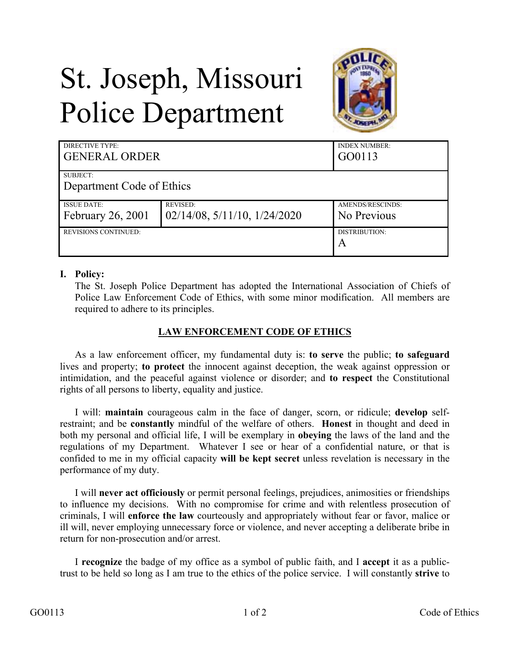## St. Joseph, Missouri Police Department



| DIRECTIVE TYPE:<br><b>GENERAL ORDER</b> |                                      | <b>INDEX NUMBER:</b><br>GO0113 |
|-----------------------------------------|--------------------------------------|--------------------------------|
| SUBJECT:                                |                                      |                                |
| Department Code of Ethics               |                                      |                                |
| <b>ISSUE DATE:</b>                      | <b>REVISED:</b>                      | AMENDS/RESCINDS:               |
| February 26, 2001                       | $02/14/08$ , $5/11/10$ , $1/24/2020$ | No Previous                    |
| <b>REVISIONS CONTINUED:</b>             |                                      | DISTRIBUTION:                  |
|                                         |                                      | A                              |

## **I. Policy:**

The St. Joseph Police Department has adopted the International Association of Chiefs of Police Law Enforcement Code of Ethics, with some minor modification. All members are required to adhere to its principles.

## **LAW ENFORCEMENT CODE OF ETHICS**

As a law enforcement officer, my fundamental duty is: **to serve** the public; **to safeguard** lives and property; **to protect** the innocent against deception, the weak against oppression or intimidation, and the peaceful against violence or disorder; and **to respect** the Constitutional rights of all persons to liberty, equality and justice.

I will: **maintain** courageous calm in the face of danger, scorn, or ridicule; **develop** selfrestraint; and be **constantly** mindful of the welfare of others. **Honest** in thought and deed in both my personal and official life, I will be exemplary in **obeying** the laws of the land and the regulations of my Department. Whatever I see or hear of a confidential nature, or that is confided to me in my official capacity **will be kept secret** unless revelation is necessary in the performance of my duty.

I will **never act officiously** or permit personal feelings, prejudices, animosities or friendships to influence my decisions. With no compromise for crime and with relentless prosecution of criminals, I will **enforce the law** courteously and appropriately without fear or favor, malice or ill will, never employing unnecessary force or violence, and never accepting a deliberate bribe in return for non-prosecution and/or arrest.

I **recognize** the badge of my office as a symbol of public faith, and I **accept** it as a publictrust to be held so long as I am true to the ethics of the police service. I will constantly **strive** to